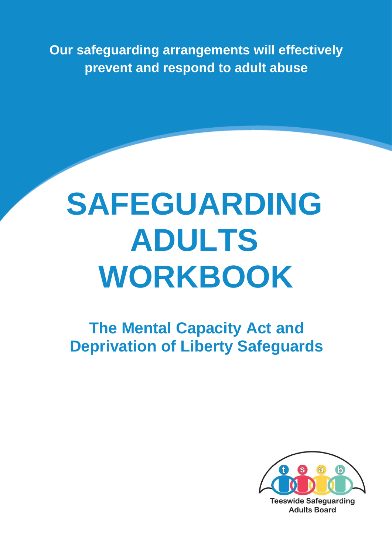**Our safeguarding arrangements will effectively prevent and respond to adult abuse** 

# **SAFEGUARDING ADULTS WORKBOOK**

**The Mental Capacity Act and Deprivation of Liberty Safeguards**



**Adults Board**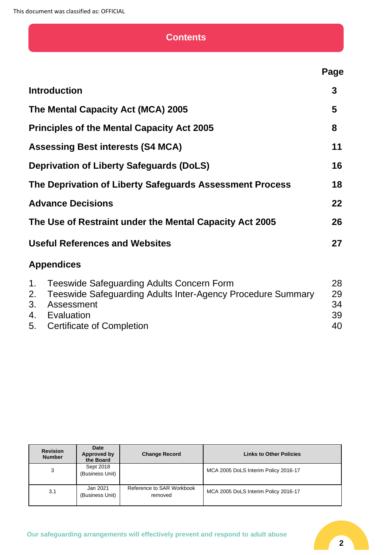#### **Contents**

|                   | <b>Introduction</b>                                                                                             | $\mathbf{3}$ |
|-------------------|-----------------------------------------------------------------------------------------------------------------|--------------|
|                   | The Mental Capacity Act (MCA) 2005                                                                              | 5            |
|                   | <b>Principles of the Mental Capacity Act 2005</b>                                                               | 8            |
|                   | <b>Assessing Best interests (S4 MCA)</b>                                                                        | 11           |
|                   | <b>Deprivation of Liberty Safeguards (DoLS)</b>                                                                 | 16           |
|                   | The Deprivation of Liberty Safeguards Assessment Process                                                        | 18           |
|                   | <b>Advance Decisions</b>                                                                                        | 22           |
|                   | The Use of Restraint under the Mental Capacity Act 2005                                                         | 26           |
|                   | <b>Useful References and Websites</b>                                                                           | 27           |
|                   | <b>Appendices</b>                                                                                               |              |
| $1_{\cdot}$<br>2. | <b>Teeswide Safeguarding Adults Concern Form</b><br>Teeswide Safeguarding Adults Inter-Agency Procedure Summary | 28<br>29     |

| 3. Assessment                |    |
|------------------------------|----|
| 4. Evaluation                | 39 |
| 5. Certificate of Completion |    |

| <b>Revision</b><br><b>Number</b> | <b>Date</b><br>Approved by<br>the Board | <b>Change Record</b>                 | <b>Links to Other Policies</b>       |
|----------------------------------|-----------------------------------------|--------------------------------------|--------------------------------------|
| 3                                | Sept 2018<br>(Business Unit)            |                                      | MCA 2005 DoLS Interim Policy 2016-17 |
| 3.1                              | Jan 2021<br>(Business Unit)             | Reference to SAR Workbook<br>removed | MCA 2005 DoLS Interim Policy 2016-17 |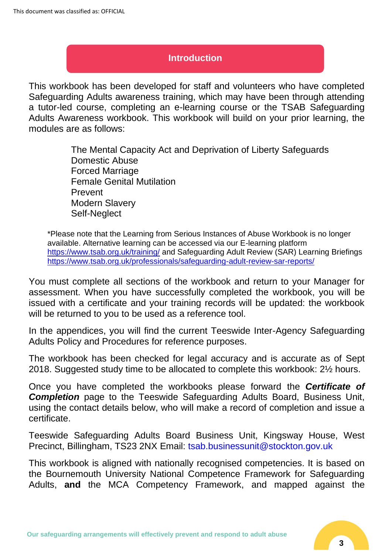#### **Introduction**

This workbook has been developed for staff and volunteers who have completed Safeguarding Adults awareness training, which may have been through attending a tutor-led course, completing an e-learning course or the TSAB Safeguarding Adults Awareness workbook. This workbook will build on your prior learning, the modules are as follows:

> The Mental Capacity Act and Deprivation of Liberty Safeguards Domestic Abuse Forced Marriage Female Genital Mutilation Prevent Modern Slavery Self-Neglect

\*Please note that the Learning from Serious Instances of Abuse Workbook is no longer available. Alternative learning can be accessed via our E-learning platform <https://www.tsab.org.uk/training/> and Safeguarding Adult Review (SAR) Learning Briefings <https://www.tsab.org.uk/professionals/safeguarding-adult-review-sar-reports/>

You must complete all sections of the workbook and return to your Manager for assessment. When you have successfully completed the workbook, you will be issued with a certificate and your training records will be updated: the workbook will be returned to you to be used as a reference tool.

In the appendices, you will find the current Teeswide Inter-Agency Safeguarding Adults Policy and Procedures for reference purposes.

The workbook has been checked for legal accuracy and is accurate as of Sept 2018. Suggested study time to be allocated to complete this workbook: 2½ hours.

Once you have completed the workbooks please forward the *Certificate of*  **Completion** page to the Teeswide Safeguarding Adults Board, Business Unit, using the contact details below, who will make a record of completion and issue a certificate.

Teeswide Safeguarding Adults Board Business Unit, Kingsway House, West Precinct, Billingham, TS23 2NX Email: tsab.businessunit@stockton.gov.uk

This workbook is aligned with nationally recognised competencies. It is based on the Bournemouth University National Competence Framework for Safeguarding Adults, **and** the MCA Competency Framework, and mapped against the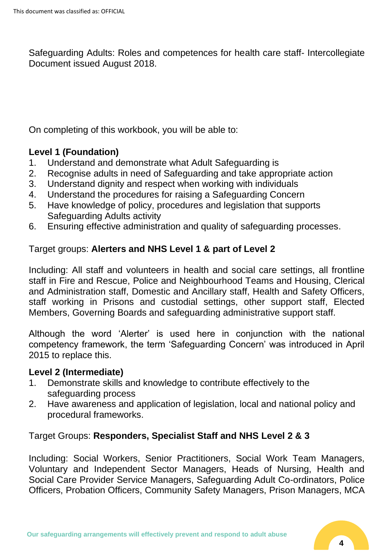Safeguarding Adults: Roles and competences for health care staff- Intercollegiate Document issued August 2018.

On completing of this workbook, you will be able to:

# **Level 1 (Foundation)**

- 1. Understand and demonstrate what Adult Safeguarding is
- 2. Recognise adults in need of Safeguarding and take appropriate action
- 3. Understand dignity and respect when working with individuals
- 4. Understand the procedures for raising a Safeguarding Concern
- 5. Have knowledge of policy, procedures and legislation that supports Safeguarding Adults activity
- 6. Ensuring effective administration and quality of safeguarding processes.

# Target groups: **Alerters and NHS Level 1 & part of Level 2**

Including: All staff and volunteers in health and social care settings, all frontline staff in Fire and Rescue, Police and Neighbourhood Teams and Housing, Clerical and Administration staff, Domestic and Ancillary staff, Health and Safety Officers, staff working in Prisons and custodial settings, other support staff, Elected Members, Governing Boards and safeguarding administrative support staff.

Although the word 'Alerter' is used here in conjunction with the national competency framework, the term 'Safeguarding Concern' was introduced in April 2015 to replace this.

## **Level 2 (Intermediate)**

- 1. Demonstrate skills and knowledge to contribute effectively to the safeguarding process
- 2. Have awareness and application of legislation, local and national policy and procedural frameworks.

Target Groups: **Responders, Specialist Staff and NHS Level 2 & 3**

Including: Social Workers, Senior Practitioners, Social Work Team Managers, Voluntary and Independent Sector Managers, Heads of Nursing, Health and Social Care Provider Service Managers, Safeguarding Adult Co-ordinators, Police Officers, Probation Officers, Community Safety Managers, Prison Managers, MCA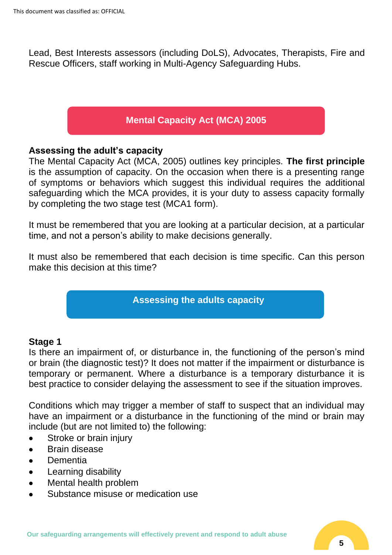Lead, Best Interests assessors (including DoLS), Advocates, Therapists, Fire and Rescue Officers, staff working in Multi-Agency Safeguarding Hubs.

# **Mental Capacity Act (MCA) 2005**

#### **Assessing the adult's capacity**

The Mental Capacity Act (MCA, 2005) outlines key principles. **The first principle** is the assumption of capacity. On the occasion when there is a presenting range of symptoms or behaviors which suggest this individual requires the additional safeguarding which the MCA provides, it is your duty to assess capacity formally by completing the two stage test (MCA1 form).

It must be remembered that you are looking at a particular decision, at a particular time, and not a person's ability to make decisions generally.

It must also be remembered that each decision is time specific. Can this person make this decision at this time?

# **Assessing the adults capacity**

#### **Stage 1**

Is there an impairment of, or disturbance in, the functioning of the person's mind or brain (the diagnostic test)? It does not matter if the impairment or disturbance is temporary or permanent. Where a disturbance is a temporary disturbance it is best practice to consider delaying the assessment to see if the situation improves.

Conditions which may trigger a member of staff to suspect that an individual may have an impairment or a disturbance in the functioning of the mind or brain may include (but are not limited to) the following:

- Stroke or brain injury
- Brain disease
- Dementia
- Learning disability
- Mental health problem
- Substance misuse or medication use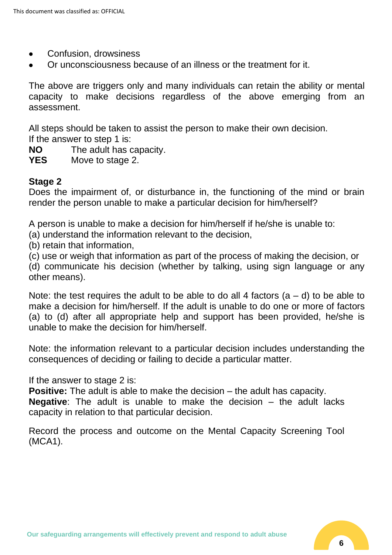- Confusion, drowsiness
- Or unconsciousness because of an illness or the treatment for it.

The above are triggers only and many individuals can retain the ability or mental capacity to make decisions regardless of the above emerging from an assessment.

All steps should be taken to assist the person to make their own decision. If the answer to step 1 is:

- **NO** The adult has capacity.
- **YES** Move to stage 2.

#### **Stage 2**

Does the impairment of, or disturbance in, the functioning of the mind or brain render the person unable to make a particular decision for him/herself?

A person is unable to make a decision for him/herself if he/she is unable to:

- (a) understand the information relevant to the decision,
- (b) retain that information,

(c) use or weigh that information as part of the process of making the decision, or

(d) communicate his decision (whether by talking, using sign language or any other means).

Note: the test requires the adult to be able to do all 4 factors  $(a - d)$  to be able to make a decision for him/herself. If the adult is unable to do one or more of factors (a) to (d) after all appropriate help and support has been provided, he/she is unable to make the decision for him/herself.

Note: the information relevant to a particular decision includes understanding the consequences of deciding or failing to decide a particular matter.

If the answer to stage 2 is:

**Positive:** The adult is able to make the decision – the adult has capacity. **Negative**: The adult is unable to make the decision – the adult lacks capacity in relation to that particular decision.

Record the process and outcome on the Mental Capacity Screening Tool (MCA1).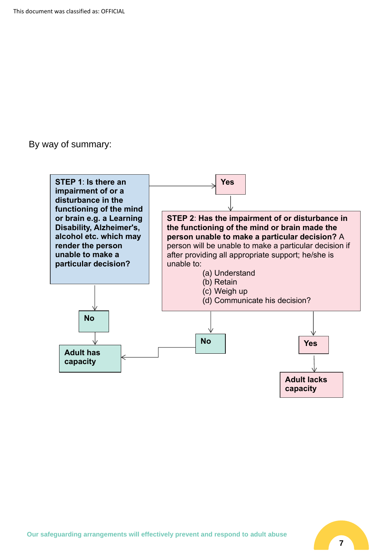By way of summary:

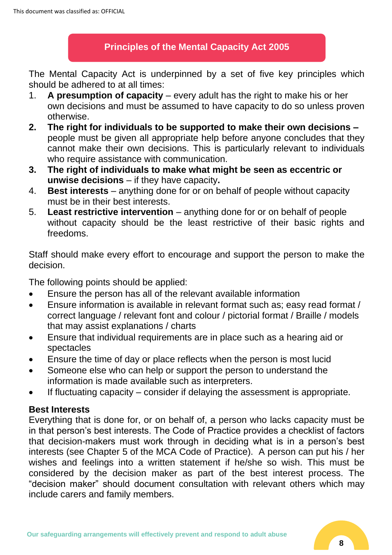## **Principles of the Mental Capacity Act 2005**

The Mental Capacity Act is underpinned by a set of five key principles which should be adhered to at all times:

- 1. **A presumption of capacity** every adult has the right to make his or her own decisions and must be assumed to have capacity to do so unless proven otherwise.
- **2. The right for individuals to be supported to make their own decisions –** people must be given all appropriate help before anyone concludes that they cannot make their own decisions. This is particularly relevant to individuals who require assistance with communication.
- **3. The right of individuals to make what might be seen as eccentric or unwise decisions** – if they have capacity**.**
- 4. **Best interests** anything done for or on behalf of people without capacity must be in their best interests.
- 5. **Least restrictive intervention** anything done for or on behalf of people without capacity should be the least restrictive of their basic rights and freedoms.

Staff should make every effort to encourage and support the person to make the decision.

The following points should be applied:

- Ensure the person has all of the relevant available information
- Ensure information is available in relevant format such as; easy read format / correct language / relevant font and colour / pictorial format / Braille / models that may assist explanations / charts
- Ensure that individual requirements are in place such as a hearing aid or spectacles
- Ensure the time of day or place reflects when the person is most lucid
- Someone else who can help or support the person to understand the information is made available such as interpreters.
- If fluctuating capacity  $-$  consider if delaying the assessment is appropriate.

## **Best Interests**

Everything that is done for, or on behalf of, a person who lacks capacity must be in that person's best interests. The Code of Practice provides a checklist of factors that decision-makers must work through in deciding what is in a person's best interests (see Chapter 5 of the MCA Code of Practice). A person can put his / her wishes and feelings into a written statement if he/she so wish. This must be considered by the decision maker as part of the best interest process. The "decision maker" should document consultation with relevant others which may include carers and family members.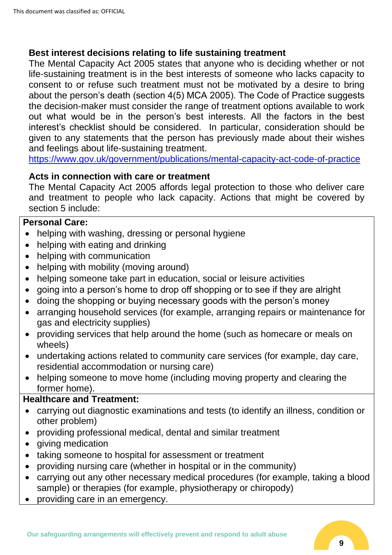#### **Best interest decisions relating to life sustaining treatment**

The Mental Capacity Act 2005 states that anyone who is deciding whether or not life-sustaining treatment is in the best interests of someone who lacks capacity to consent to or refuse such treatment must not be motivated by a desire to bring about the person's death (section 4(5) MCA 2005). The Code of Practice suggests the decision-maker must consider the range of treatment options available to work out what would be in the person's best interests. All the factors in the best interest's checklist should be considered. In particular, consideration should be given to any statements that the person has previously made about their wishes and feelings about life-sustaining treatment.

<https://www.gov.uk/government/publications/mental-capacity-act-code-of-practice>

# **Acts in connection with care or treatment**

The Mental Capacity Act 2005 affords legal protection to those who deliver care and treatment to people who lack capacity. Actions that might be covered by section 5 include:

#### **Personal Care:**

- helping with washing, dressing or personal hygiene
- helping with eating and drinking
- helping with communication
- helping with mobility (moving around)
- helping someone take part in education, social or leisure activities
- going into a person's home to drop off shopping or to see if they are alright
- doing the shopping or buying necessary goods with the person's money
- arranging household services (for example, arranging repairs or maintenance for gas and electricity supplies)
- providing services that help around the home (such as homecare or meals on wheels)
- undertaking actions related to community care services (for example, day care, residential accommodation or nursing care)
- helping someone to move home (including moving property and clearing the former home).

## **Healthcare and Treatment:**

- carrying out diagnostic examinations and tests (to identify an illness, condition or other problem)
- providing professional medical, dental and similar treatment
- giving medication
- taking someone to hospital for assessment or treatment
- providing nursing care (whether in hospital or in the community)
- carrying out any other necessary medical procedures (for example, taking a blood sample) or therapies (for example, physiotherapy or chiropody)
- providing care in an emergency.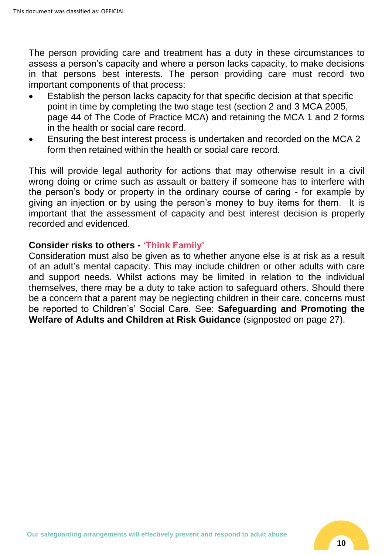The person providing care and treatment has a duty in these circumstances to assess a person's capacity and where a person lacks capacity, to make decisions in that persons best interests. The person providing care must record two important components of that process:

- Establish the person lacks capacity for that specific decision at that specific point in time by completing the two stage test (section 2 and 3 MCA 2005, page 44 of The Code of Practice MCA) and retaining the MCA 1 and 2 forms in the health or social care record.
- Ensuring the best interest process is undertaken and recorded on the MCA 2 form then retained within the health or social care record.

This will provide legal authority for actions that may otherwise result in a civil wrong doing or crime such as assault or battery if someone has to interfere with the person's body or property in the ordinary course of caring - for example by giving an injection or by using the person's money to buy items for them. It is important that the assessment of capacity and best interest decision is properly recorded and evidenced.

#### **Consider risks to others - 'Think Family'**

Consideration must also be given as to whether anyone else is at risk as a result of an adult's mental capacity. This may include children or other adults with care and support needs. Whilst actions may be limited in relation to the individual themselves, there may be a duty to take action to safeguard others. Should there be a concern that a parent may be neglecting children in their care, concerns must be reported to Children's' Social Care. See: **Safeguarding and Promoting the Welfare of Adults and Children at Risk Guidance** (signposted on page 27).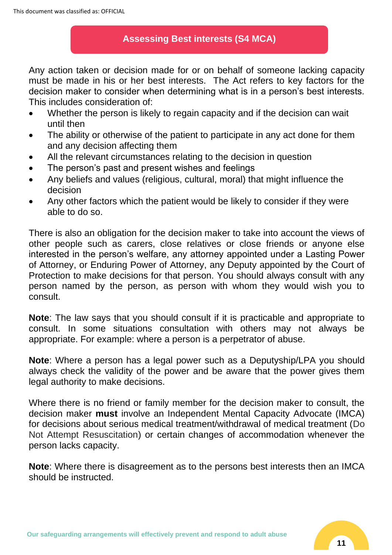#### **Assessing Best interests (S4 MCA)**

Any action taken or decision made for or on behalf of someone lacking capacity must be made in his or her best interests. The Act refers to key factors for the decision maker to consider when determining what is in a person's best interests. This includes consideration of:

- Whether the person is likely to regain capacity and if the decision can wait until then
- The ability or otherwise of the patient to participate in any act done for them and any decision affecting them
- All the relevant circumstances relating to the decision in question
- The person's past and present wishes and feelings
- Any beliefs and values (religious, cultural, moral) that might influence the decision
- Any other factors which the patient would be likely to consider if they were able to do so.

There is also an obligation for the decision maker to take into account the views of other people such as carers, close relatives or close friends or anyone else interested in the person's welfare, any attorney appointed under a Lasting Power of Attorney, or Enduring Power of Attorney, any Deputy appointed by the Court of Protection to make decisions for that person. You should always consult with any person named by the person, as person with whom they would wish you to consult.

**Note**: The law says that you should consult if it is practicable and appropriate to consult. In some situations consultation with others may not always be appropriate. For example: where a person is a perpetrator of abuse.

**Note**: Where a person has a legal power such as a Deputyship/LPA you should always check the validity of the power and be aware that the power gives them legal authority to make decisions.

Where there is no friend or family member for the decision maker to consult, the decision maker **must** involve an Independent Mental Capacity Advocate (IMCA) for decisions about serious medical treatment/withdrawal of medical treatment (Do Not Attempt Resuscitation) or certain changes of accommodation whenever the person lacks capacity.

**Note**: Where there is disagreement as to the persons best interests then an IMCA should be instructed.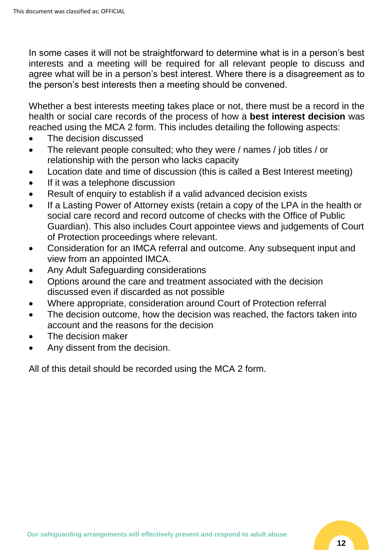In some cases it will not be straightforward to determine what is in a person's best interests and a meeting will be required for all relevant people to discuss and agree what will be in a person's best interest. Where there is a disagreement as to the person's best interests then a meeting should be convened.

Whether a best interests meeting takes place or not, there must be a record in the health or social care records of the process of how a **best interest decision** was reached using the MCA 2 form. This includes detailing the following aspects:

- The decision discussed
- The relevant people consulted; who they were / names / job titles / or relationship with the person who lacks capacity
- Location date and time of discussion (this is called a Best Interest meeting)
- If it was a telephone discussion
- Result of enquiry to establish if a valid advanced decision exists
- If a Lasting Power of Attorney exists (retain a copy of the LPA in the health or social care record and record outcome of checks with the Office of Public Guardian). This also includes Court appointee views and judgements of Court of Protection proceedings where relevant.
- Consideration for an IMCA referral and outcome. Any subsequent input and view from an appointed IMCA.
- Any Adult Safeguarding considerations
- Options around the care and treatment associated with the decision discussed even if discarded as not possible
- Where appropriate, consideration around Court of Protection referral
- The decision outcome, how the decision was reached, the factors taken into account and the reasons for the decision
- The decision maker
- Any dissent from the decision.

All of this detail should be recorded using the MCA 2 form.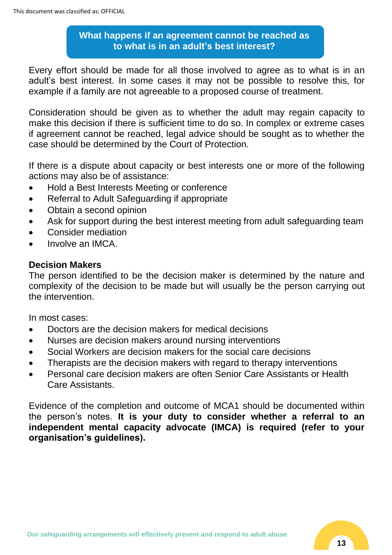## **What happens if an agreement cannot be reached as to what is in an adult's best interest?**

Every effort should be made for all those involved to agree as to what is in an adult's best interest. In some cases it may not be possible to resolve this, for example if a family are not agreeable to a proposed course of treatment.

Consideration should be given as to whether the adult may regain capacity to make this decision if there is sufficient time to do so. In complex or extreme cases if agreement cannot be reached, legal advice should be sought as to whether the case should be determined by the Court of Protection.

If there is a dispute about capacity or best interests one or more of the following actions may also be of assistance:

- Hold a Best Interests Meeting or conference
- Referral to Adult Safeguarding if appropriate
- Obtain a second opinion
- Ask for support during the best interest meeting from adult safeguarding team
- Consider mediation
- Involve an IMCA.

# **Decision Makers**

The person identified to be the decision maker is determined by the nature and complexity of the decision to be made but will usually be the person carrying out the intervention.

In most cases:

- Doctors are the decision makers for medical decisions
- Nurses are decision makers around nursing interventions
- Social Workers are decision makers for the social care decisions
- Therapists are the decision makers with regard to therapy interventions
- Personal care decision makers are often Senior Care Assistants or Health Care Assistants.

Evidence of the completion and outcome of MCA1 should be documented within the person's notes. **It is your duty to consider whether a referral to an independent mental capacity advocate (IMCA) is required (refer to your organisation's guidelines).**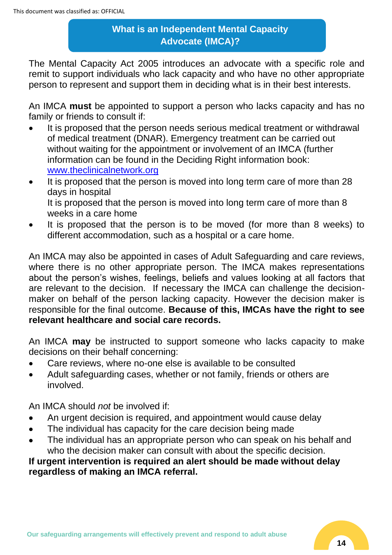# **What is an Independent Mental Capacity Advocate (IMCA)?**

The Mental Capacity Act 2005 introduces an advocate with a specific role and remit to support individuals who lack capacity and who have no other appropriate person to represent and support them in deciding what is in their best interests.

An IMCA **must** be appointed to support a person who lacks capacity and has no family or friends to consult if:

- It is proposed that the person needs serious medical treatment or withdrawal of medical treatment (DNAR). Emergency treatment can be carried out without waiting for the appointment or involvement of an IMCA (further information can be found in the Deciding Right information book: <www.theclinicalnetwork.org>
- It is proposed that the person is moved into long term care of more than 28 days in hospital It is proposed that the person is moved into long term care of more than 8 weeks in a care home
- It is proposed that the person is to be moved (for more than 8 weeks) to different accommodation, such as a hospital or a care home.

An IMCA may also be appointed in cases of Adult Safeguarding and care reviews, where there is no other appropriate person. The IMCA makes representations about the person's wishes, feelings, beliefs and values looking at all factors that are relevant to the decision. If necessary the IMCA can challenge the decisionmaker on behalf of the person lacking capacity. However the decision maker is responsible for the final outcome. **Because of this, IMCAs have the right to see relevant healthcare and social care records.** 

An IMCA **may** be instructed to support someone who lacks capacity to make decisions on their behalf concerning:

- Care reviews, where no-one else is available to be consulted
- Adult safeguarding cases, whether or not family, friends or others are involved.

An IMCA should *not* be involved if:

- An urgent decision is required, and appointment would cause delay
- The individual has capacity for the care decision being made
- The individual has an appropriate person who can speak on his behalf and who the decision maker can consult with about the specific decision.

**If urgent intervention is required an alert should be made without delay regardless of making an IMCA referral.**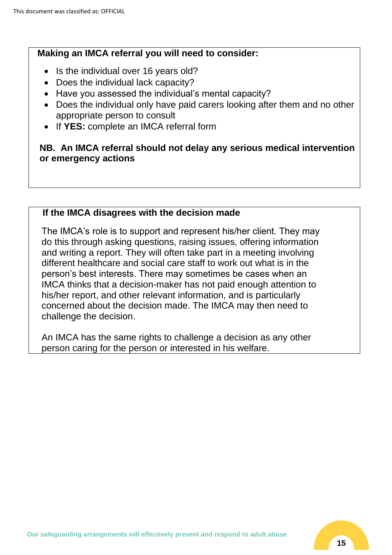#### **Making an IMCA referral you will need to consider:**

- Is the individual over 16 years old?
- Does the individual lack capacity?
- Have you assessed the individual's mental capacity?
- Does the individual only have paid carers looking after them and no other appropriate person to consult
- If **YES:** complete an IMCA referral form

#### **NB. An IMCA referral should not delay any serious medical intervention or emergency actions**

## **If the IMCA disagrees with the decision made**

The IMCA's role is to support and represent his/her client. They may do this through asking questions, raising issues, offering information and writing a report. They will often take part in a meeting involving different healthcare and social care staff to work out what is in the person's best interests. There may sometimes be cases when an IMCA thinks that a decision-maker has not paid enough attention to his/her report, and other relevant information, and is particularly concerned about the decision made. The IMCA may then need to challenge the decision.

An IMCA has the same rights to challenge a decision as any other person caring for the person or interested in his welfare.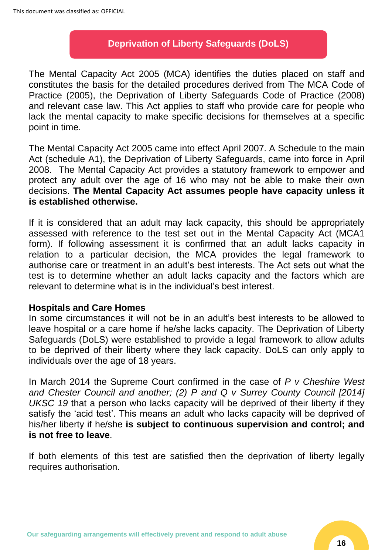## **Deprivation of Liberty Safeguards (DoLS)**

The Mental Capacity Act 2005 (MCA) identifies the duties placed on staff and constitutes the basis for the detailed procedures derived from The MCA Code of Practice (2005), the Deprivation of Liberty Safeguards Code of Practice (2008) and relevant case law. This Act applies to staff who provide care for people who lack the mental capacity to make specific decisions for themselves at a specific point in time.

The Mental Capacity Act 2005 came into effect April 2007. A Schedule to the main Act (schedule A1), the Deprivation of Liberty Safeguards, came into force in April 2008. The Mental Capacity Act provides a statutory framework to empower and protect any adult over the age of 16 who may not be able to make their own decisions. **The Mental Capacity Act assumes people have capacity unless it is established otherwise.**

If it is considered that an adult may lack capacity, this should be appropriately assessed with reference to the test set out in the Mental Capacity Act (MCA1 form). If following assessment it is confirmed that an adult lacks capacity in relation to a particular decision, the MCA provides the legal framework to authorise care or treatment in an adult's best interests. The Act sets out what the test is to determine whether an adult lacks capacity and the factors which are relevant to determine what is in the individual's best interest.

#### **Hospitals and Care Homes**

In some circumstances it will not be in an adult's best interests to be allowed to leave hospital or a care home if he/she lacks capacity. The Deprivation of Liberty Safeguards (DoLS) were established to provide a legal framework to allow adults to be deprived of their liberty where they lack capacity. DoLS can only apply to individuals over the age of 18 years.

In March 2014 the Supreme Court confirmed in the case of *P v Cheshire West and Chester Council and another; (2) P and Q v Surrey County Council [2014] UKSC 19* that a person who lacks capacity will be deprived of their liberty if they satisfy the 'acid test'. This means an adult who lacks capacity will be deprived of his/her liberty if he/she **is subject to continuous supervision and control; and is not free to leave**.

If both elements of this test are satisfied then the deprivation of liberty legally requires authorisation.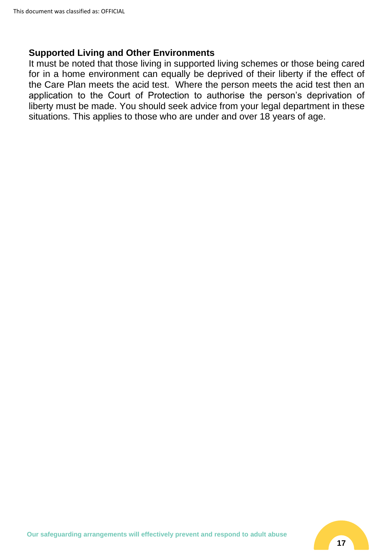#### **Supported Living and Other Environments**

It must be noted that those living in supported living schemes or those being cared for in a home environment can equally be deprived of their liberty if the effect of the Care Plan meets the acid test. Where the person meets the acid test then an application to the Court of Protection to authorise the person's deprivation of liberty must be made. You should seek advice from your legal department in these situations. This applies to those who are under and over 18 years of age.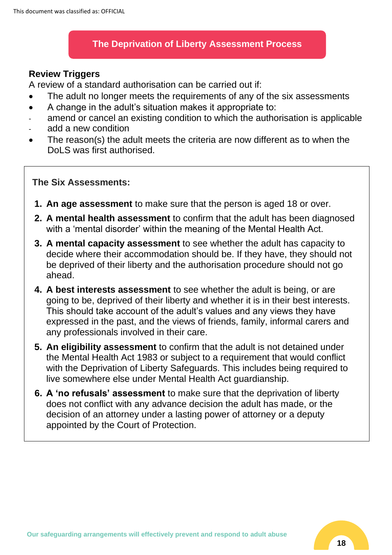#### **The Deprivation of Liberty Assessment Process**

## **Review Triggers**

A review of a standard authorisation can be carried out if:

- The adult no longer meets the requirements of any of the six assessments
- A change in the adult's situation makes it appropriate to:
- amend or cancel an existing condition to which the authorisation is applicable
- add a new condition
- The reason(s) the adult meets the criteria are now different as to when the DoLS was first authorised.

## **The Six Assessments:**

- **1. An age assessment** to make sure that the person is aged 18 or over.
- **2. A mental health assessment** to confirm that the adult has been diagnosed with a 'mental disorder' within the meaning of the Mental Health Act.
- **3. A mental capacity assessment** to see whether the adult has capacity to decide where their accommodation should be. If they have, they should not be deprived of their liberty and the authorisation procedure should not go ahead.
- **4. A best interests assessment** to see whether the adult is being, or are going to be, deprived of their liberty and whether it is in their best interests. This should take account of the adult's values and any views they have expressed in the past, and the views of friends, family, informal carers and any professionals involved in their care.
- **5. An eligibility assessment** to confirm that the adult is not detained under the Mental Health Act 1983 or subject to a requirement that would conflict with the Deprivation of Liberty Safeguards. This includes being required to live somewhere else under Mental Health Act guardianship.
- **6. A 'no refusals' assessment** to make sure that the deprivation of liberty does not conflict with any advance decision the adult has made, or the decision of an attorney under a lasting power of attorney or a deputy appointed by the Court of Protection.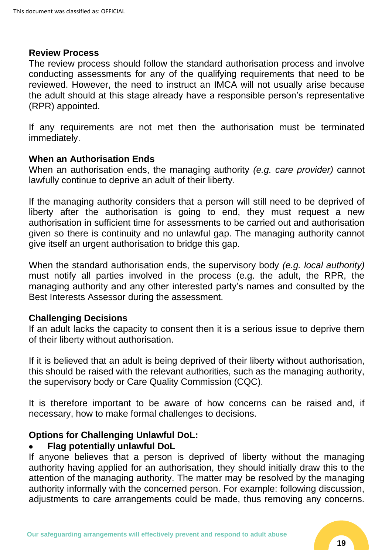#### **Review Process**

The review process should follow the standard authorisation process and involve conducting assessments for any of the qualifying requirements that need to be reviewed. However, the need to instruct an IMCA will not usually arise because the adult should at this stage already have a responsible person's representative (RPR) appointed.

If any requirements are not met then the authorisation must be terminated immediately.

#### **When an Authorisation Ends**

When an authorisation ends, the managing authority *(e.g. care provider)* cannot lawfully continue to deprive an adult of their liberty.

If the managing authority considers that a person will still need to be deprived of liberty after the authorisation is going to end, they must request a new authorisation in sufficient time for assessments to be carried out and authorisation given so there is continuity and no unlawful gap. The managing authority cannot give itself an urgent authorisation to bridge this gap.

When the standard authorisation ends, the supervisory body *(e.g. local authority)* must notify all parties involved in the process (e.g. the adult, the RPR, the managing authority and any other interested party's names and consulted by the Best Interests Assessor during the assessment.

#### **Challenging Decisions**

If an adult lacks the capacity to consent then it is a serious issue to deprive them of their liberty without authorisation.

If it is believed that an adult is being deprived of their liberty without authorisation, this should be raised with the relevant authorities, such as the managing authority, the supervisory body or Care Quality Commission (CQC).

It is therefore important to be aware of how concerns can be raised and, if necessary, how to make formal challenges to decisions.

## **Options for Challenging Unlawful DoL:**

#### • **Flag potentially unlawful DoL**

If anyone believes that a person is deprived of liberty without the managing authority having applied for an authorisation, they should initially draw this to the attention of the managing authority. The matter may be resolved by the managing authority informally with the concerned person. For example: following discussion, adjustments to care arrangements could be made, thus removing any concerns.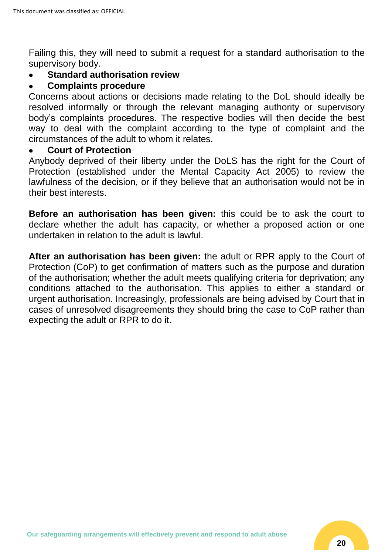Failing this, they will need to submit a request for a standard authorisation to the supervisory body.

#### • **Standard authorisation review**

#### • **Complaints procedure**

Concerns about actions or decisions made relating to the DoL should ideally be resolved informally or through the relevant managing authority or supervisory body's complaints procedures. The respective bodies will then decide the best way to deal with the complaint according to the type of complaint and the circumstances of the adult to whom it relates.

#### • **Court of Protection**

Anybody deprived of their liberty under the DoLS has the right for the Court of Protection (established under the Mental Capacity Act 2005) to review the lawfulness of the decision, or if they believe that an authorisation would not be in their best interests.

**Before an authorisation has been given:** this could be to ask the court to declare whether the adult has capacity, or whether a proposed action or one undertaken in relation to the adult is lawful.

**After an authorisation has been given:** the adult or RPR apply to the Court of Protection (CoP) to get confirmation of matters such as the purpose and duration of the authorisation; whether the adult meets qualifying criteria for deprivation; any conditions attached to the authorisation. This applies to either a standard or urgent authorisation. Increasingly, professionals are being advised by Court that in cases of unresolved disagreements they should bring the case to CoP rather than expecting the adult or RPR to do it.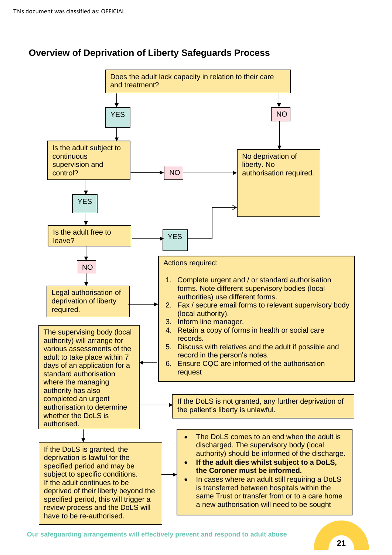# **Overview of Deprivation of Liberty Safeguards Process**



**Our safeguarding arrangements will effectively prevent and respond to adult abuse**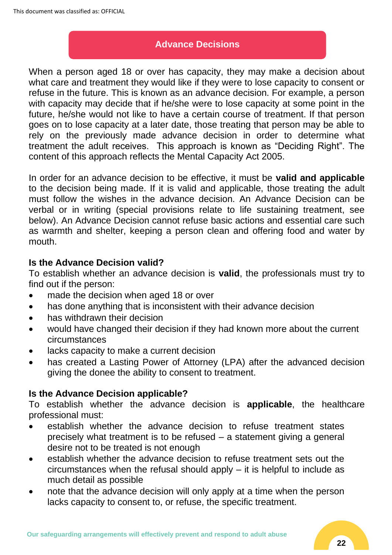## **Advance Decisions**

When a person aged 18 or over has capacity, they may make a decision about what care and treatment they would like if they were to lose capacity to consent or refuse in the future. This is known as an advance decision. For example, a person with capacity may decide that if he/she were to lose capacity at some point in the future, he/she would not like to have a certain course of treatment. If that person goes on to lose capacity at a later date, those treating that person may be able to rely on the previously made advance decision in order to determine what treatment the adult receives. This approach is known as "Deciding Right". The content of this approach reflects the Mental Capacity Act 2005.

In order for an advance decision to be effective, it must be **valid and applicable** to the decision being made. If it is valid and applicable, those treating the adult must follow the wishes in the advance decision. An Advance Decision can be verbal or in writing (special provisions relate to life sustaining treatment, see below). An Advance Decision cannot refuse basic actions and essential care such as warmth and shelter, keeping a person clean and offering food and water by mouth.

#### **Is the Advance Decision valid?**

To establish whether an advance decision is **valid**, the professionals must try to find out if the person:

- made the decision when aged 18 or over
- has done anything that is inconsistent with their advance decision
- has withdrawn their decision
- would have changed their decision if they had known more about the current circumstances
- lacks capacity to make a current decision
- has created a Lasting Power of Attorney (LPA) after the advanced decision giving the donee the ability to consent to treatment.

## **Is the Advance Decision applicable?**

To establish whether the advance decision is **applicable**, the healthcare professional must:

- establish whether the advance decision to refuse treatment states precisely what treatment is to be refused – a statement giving a general desire not to be treated is not enough
- establish whether the advance decision to refuse treatment sets out the circumstances when the refusal should apply – it is helpful to include as much detail as possible
- note that the advance decision will only apply at a time when the person lacks capacity to consent to, or refuse, the specific treatment.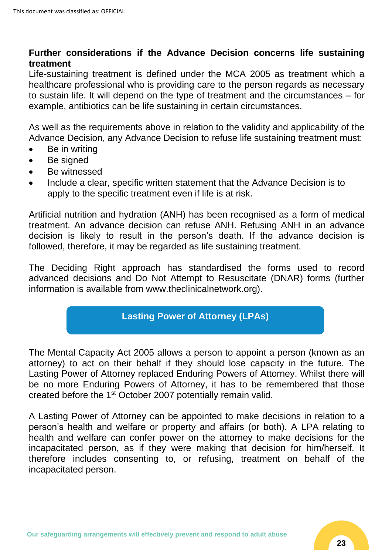## **Further considerations if the Advance Decision concerns life sustaining treatment**

Life-sustaining treatment is defined under the MCA 2005 as treatment which a healthcare professional who is providing care to the person regards as necessary to sustain life. It will depend on the type of treatment and the circumstances – for example, antibiotics can be life sustaining in certain circumstances.

As well as the requirements above in relation to the validity and applicability of the Advance Decision, any Advance Decision to refuse life sustaining treatment must:

- Be in writing
- Be signed
- Be witnessed
- Include a clear, specific written statement that the Advance Decision is to apply to the specific treatment even if life is at risk.

Artificial nutrition and hydration (ANH) has been recognised as a form of medical treatment. An advance decision can refuse ANH. Refusing ANH in an advance decision is likely to result in the person's death. If the advance decision is followed, therefore, it may be regarded as life sustaining treatment.

The Deciding Right approach has standardised the forms used to record advanced decisions and Do Not Attempt to Resuscitate (DNAR) forms (further information is available from www.theclinicalnetwork.org).

**Lasting Power of Attorney (LPAs)**

The Mental Capacity Act 2005 allows a person to appoint a person (known as an attorney) to act on their behalf if they should lose capacity in the future. The Lasting Power of Attorney replaced Enduring Powers of Attorney. Whilst there will be no more Enduring Powers of Attorney, it has to be remembered that those created before the 1st October 2007 potentially remain valid.

A Lasting Power of Attorney can be appointed to make decisions in relation to a person's health and welfare or property and affairs (or both). A LPA relating to health and welfare can confer power on the attorney to make decisions for the incapacitated person, as if they were making that decision for him/herself. It therefore includes consenting to, or refusing, treatment on behalf of the incapacitated person.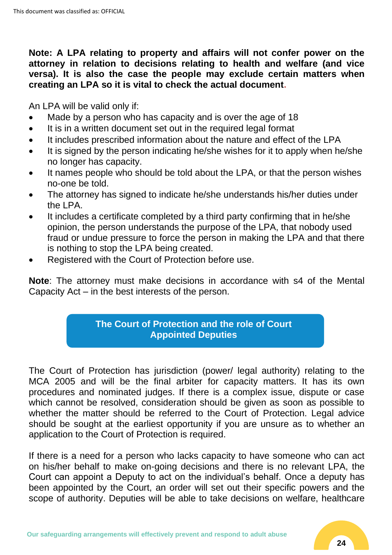**Note: A LPA relating to property and affairs will not confer power on the attorney in relation to decisions relating to health and welfare (and vice versa). It is also the case the people may exclude certain matters when creating an LPA so it is vital to check the actual document.**

An LPA will be valid only if:

- Made by a person who has capacity and is over the age of 18
- It is in a written document set out in the required legal format
- It includes prescribed information about the nature and effect of the LPA
- It is signed by the person indicating he/she wishes for it to apply when he/she no longer has capacity.
- It names people who should be told about the LPA, or that the person wishes no-one be told.
- The attorney has signed to indicate he/she understands his/her duties under the LPA.
- It includes a certificate completed by a third party confirming that in he/she opinion, the person understands the purpose of the LPA, that nobody used fraud or undue pressure to force the person in making the LPA and that there is nothing to stop the LPA being created.
- Registered with the Court of Protection before use.

**Note**: The attorney must make decisions in accordance with s4 of the Mental Capacity Act – in the best interests of the person.

# **The Court of Protection and the role of Court Appointed Deputies**

The Court of Protection has jurisdiction (power/ legal authority) relating to the MCA 2005 and will be the final arbiter for capacity matters. It has its own procedures and nominated judges. If there is a complex issue, dispute or case which cannot be resolved, consideration should be given as soon as possible to whether the matter should be referred to the Court of Protection. Legal advice should be sought at the earliest opportunity if you are unsure as to whether an application to the Court of Protection is required.

If there is a need for a person who lacks capacity to have someone who can act on his/her behalf to make on-going decisions and there is no relevant LPA, the Court can appoint a Deputy to act on the individual's behalf. Once a deputy has been appointed by the Court, an order will set out their specific powers and the scope of authority. Deputies will be able to take decisions on welfare, healthcare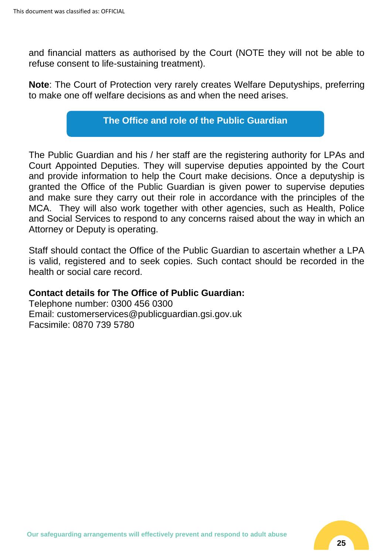and financial matters as authorised by the Court (NOTE they will not be able to refuse consent to life-sustaining treatment).

**Note**: The Court of Protection very rarely creates Welfare Deputyships, preferring to make one off welfare decisions as and when the need arises.

# **The Office and role of the Public Guardian**

The Public Guardian and his / her staff are the registering authority for LPAs and Court Appointed Deputies. They will supervise deputies appointed by the Court and provide information to help the Court make decisions. Once a deputyship is granted the Office of the Public Guardian is given power to supervise deputies and make sure they carry out their role in accordance with the principles of the MCA. They will also work together with other agencies, such as Health, Police and Social Services to respond to any concerns raised about the way in which an Attorney or Deputy is operating.

Staff should contact the Office of the Public Guardian to ascertain whether a LPA is valid, registered and to seek copies. Such contact should be recorded in the health or social care record.

#### **Contact details for The Office of Public Guardian:**

Telephone number: 0300 456 0300 Email: customerservices@publicguardian.gsi.gov.uk Facsimile: 0870 739 5780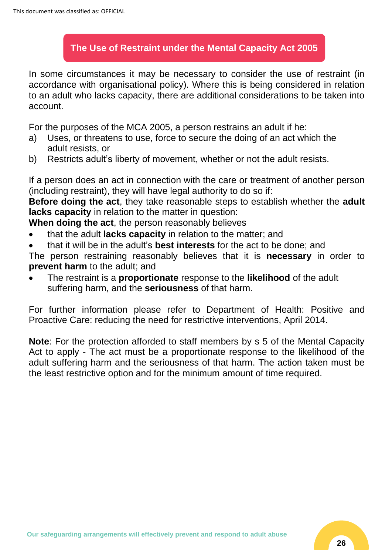# **The Use of Restraint under the Mental Capacity Act 2005**

In some circumstances it may be necessary to consider the use of restraint (in accordance with organisational policy). Where this is being considered in relation to an adult who lacks capacity, there are additional considerations to be taken into account.

For the purposes of the MCA 2005, a person restrains an adult if he:

- a) Uses, or threatens to use, force to secure the doing of an act which the adult resists, or
- b) Restricts adult's liberty of movement, whether or not the adult resists.

If a person does an act in connection with the care or treatment of another person (including restraint), they will have legal authority to do so if:

**Before doing the act**, they take reasonable steps to establish whether the **adult lacks capacity** in relation to the matter in question:

**When doing the act**, the person reasonably believes

- that the adult **lacks capacity** in relation to the matter; and
- that it will be in the adult's **best interests** for the act to be done; and

The person restraining reasonably believes that it is **necessary** in order to **prevent harm** to the adult; and

• The restraint is a **proportionate** response to the **likelihood** of the adult suffering harm, and the **seriousness** of that harm.

For further information please refer to Department of Health: Positive and Proactive Care: reducing the need for restrictive interventions, April 2014.

**Note**: For the protection afforded to staff members by s 5 of the Mental Capacity Act to apply - The act must be a proportionate response to the likelihood of the adult suffering harm and the seriousness of that harm. The action taken must be the least restrictive option and for the minimum amount of time required.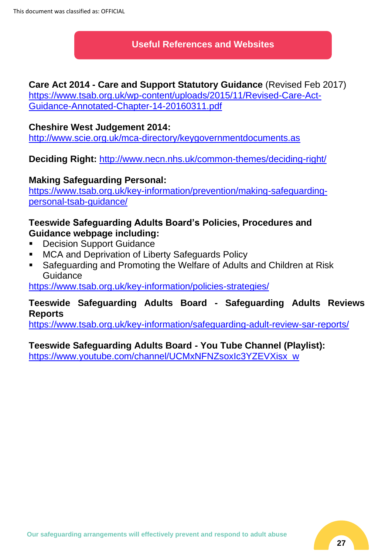#### **Useful References and Websites**

**Care Act 2014 - Care and Support Statutory Guidance** (Revised Feb 2017) [https://www.tsab.org.uk/wp-content/uploads/2015/11/Revised-Care-Act-](https://www.tsab.org.uk/wp-content/uploads/2015/11/Revised-Care-Act-Guidance-Annotated-Chapter-14-20160311.pdf)[Guidance-Annotated-Chapter-14-20160311.pdf](https://www.tsab.org.uk/wp-content/uploads/2015/11/Revised-Care-Act-Guidance-Annotated-Chapter-14-20160311.pdf)

#### **Cheshire West Judgement 2014:**

<http://www.scie.org.uk/mca-directory/keygovernmentdocuments.as>

**Deciding Right:** <http://www.necn.nhs.uk/common-themes/deciding-right/>

#### **Making Safeguarding Personal:**

[https://www.tsab.org.uk/key-information/prevention/making-safeguarding](https://www.tsab.org.uk/key-information/prevention/making-safeguarding-personal-tsab-guidance/)[personal-tsab-guidance/](https://www.tsab.org.uk/key-information/prevention/making-safeguarding-personal-tsab-guidance/)

#### **Teeswide Safeguarding Adults Board's Policies, Procedures and Guidance webpage including:**

- Decision Support Guidance
- MCA and Deprivation of Liberty Safeguards Policy
- Safeguarding and Promoting the Welfare of Adults and Children at Risk Guidance

<https://www.tsab.org.uk/key-information/policies-strategies/>

#### **Teeswide Safeguarding Adults Board - Safeguarding Adults Reviews Reports**

<https://www.tsab.org.uk/key-information/safeguarding-adult-review-sar-reports/>

## **Teeswide Safeguarding Adults Board - You Tube Channel (Playlist):**

[https://www.youtube.com/channel/UCMxNFNZsoxIc3YZEVXisx\\_w](https://www.youtube.com/channel/UCMxNFNZsoxIc3YZEVXisx_w)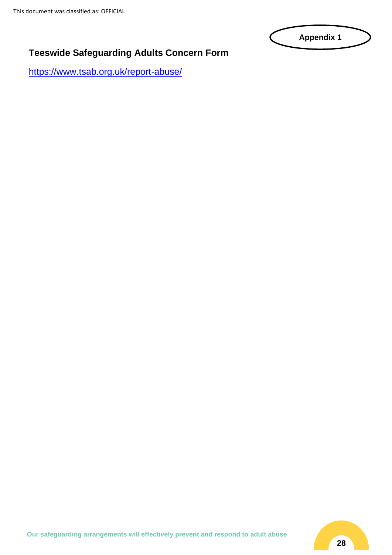

# **Teeswide Safeguarding Adults Concern Form**

<https://www.tsab.org.uk/report-abuse/>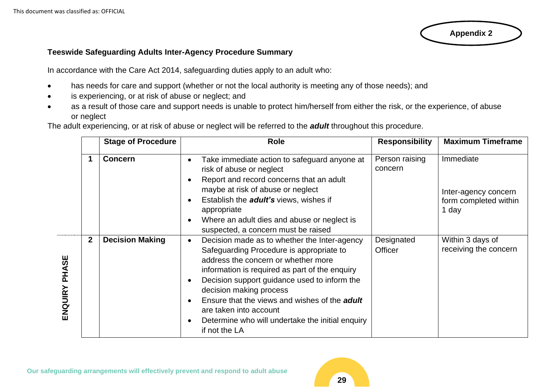-----

#### **Teeswide Safeguarding Adults Inter-Agency Procedure Summary**

In accordance with the Care Act 2014, safeguarding duties apply to an adult who:

- has needs for care and support (whether or not the local authority is meeting any of those needs); and
- is experiencing, or at risk of abuse or neglect; and
- as a result of those care and support needs is unable to protect him/herself from either the risk, or the experience, of abuse or neglect

The adult experiencing, or at risk of abuse or neglect will be referred to the *adult* throughout this procedure.

|               |             | <b>Stage of Procedure</b> | <b>Role</b>                                                                                                                                                                                                                                                                                                                                                                                                                                                | <b>Responsibility</b>        | <b>Maximum Timeframe</b>                                            |
|---------------|-------------|---------------------------|------------------------------------------------------------------------------------------------------------------------------------------------------------------------------------------------------------------------------------------------------------------------------------------------------------------------------------------------------------------------------------------------------------------------------------------------------------|------------------------------|---------------------------------------------------------------------|
|               | 1           | <b>Concern</b>            | Take immediate action to safeguard anyone at<br>$\bullet$<br>risk of abuse or neglect<br>Report and record concerns that an adult<br>$\bullet$<br>maybe at risk of abuse or neglect<br>Establish the <i>adult's</i> views, wishes if<br>$\bullet$<br>appropriate<br>Where an adult dies and abuse or neglect is<br>$\bullet$<br>suspected, a concern must be raised                                                                                        | Person raising<br>concern    | Immediate<br>Inter-agency concern<br>form completed within<br>1 day |
| ENQUIRY PHASE | $\mathbf 2$ | <b>Decision Making</b>    | Decision made as to whether the Inter-agency<br>$\bullet$<br>Safeguarding Procedure is appropriate to<br>address the concern or whether more<br>information is required as part of the enquiry<br>Decision support guidance used to inform the<br>$\bullet$<br>decision making process<br>Ensure that the views and wishes of the <b>adult</b><br>are taken into account<br>Determine who will undertake the initial enquiry<br>$\bullet$<br>if not the LA | Designated<br><b>Officer</b> | Within 3 days of<br>receiving the concern                           |

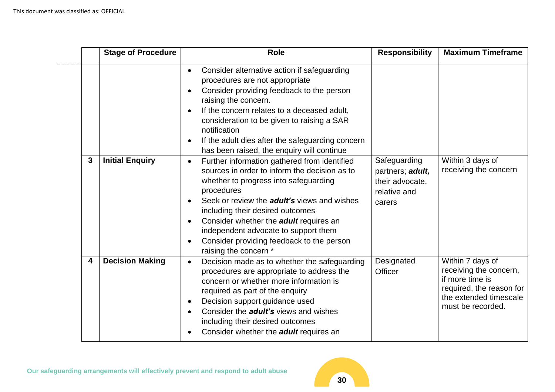|   | <b>Stage of Procedure</b> | <b>Role</b>                                                                                                                                                                                                                                                                                                                                                                                                                | <b>Responsibility</b>                                                         | <b>Maximum Timeframe</b>                                                                                                                 |
|---|---------------------------|----------------------------------------------------------------------------------------------------------------------------------------------------------------------------------------------------------------------------------------------------------------------------------------------------------------------------------------------------------------------------------------------------------------------------|-------------------------------------------------------------------------------|------------------------------------------------------------------------------------------------------------------------------------------|
|   |                           | Consider alternative action if safeguarding<br>$\bullet$<br>procedures are not appropriate<br>Consider providing feedback to the person<br>raising the concern.<br>If the concern relates to a deceased adult,<br>consideration to be given to raising a SAR<br>notification<br>If the adult dies after the safeguarding concern<br>has been raised, the enquiry will continue                                             |                                                                               |                                                                                                                                          |
| 3 | <b>Initial Enquiry</b>    | Further information gathered from identified<br>$\bullet$<br>sources in order to inform the decision as to<br>whether to progress into safeguarding<br>procedures<br>Seek or review the <b>adult's</b> views and wishes<br>including their desired outcomes<br>Consider whether the <b>adult</b> requires an<br>independent advocate to support them<br>Consider providing feedback to the person<br>raising the concern * | Safeguarding<br>partners; adult,<br>their advocate,<br>relative and<br>carers | Within 3 days of<br>receiving the concern                                                                                                |
| 4 | <b>Decision Making</b>    | Decision made as to whether the safeguarding<br>$\bullet$<br>procedures are appropriate to address the<br>concern or whether more information is<br>required as part of the enquiry<br>Decision support guidance used<br>$\bullet$<br>Consider the <b>adult's</b> views and wishes<br>including their desired outcomes<br>Consider whether the <i>adult</i> requires an                                                    | Designated<br>Officer                                                         | Within 7 days of<br>receiving the concern,<br>if more time is<br>required, the reason for<br>the extended timescale<br>must be recorded. |

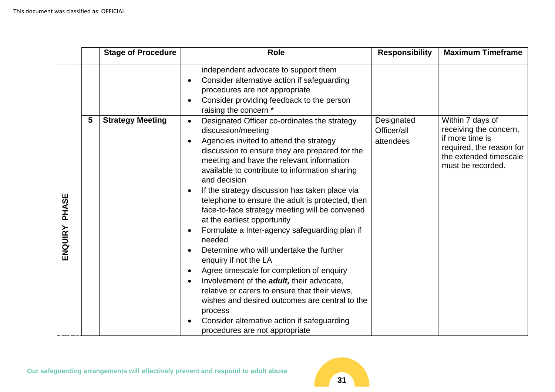|                  |   | <b>Stage of Procedure</b> | <b>Role</b>                                                                                                                                                                                                                                                                                                                                                                                                                                                                                                                                                                                                                                                                                                                                                                                                                                                                                             | <b>Responsibility</b>                  | <b>Maximum Timeframe</b>                                                                                                                 |
|------------------|---|---------------------------|---------------------------------------------------------------------------------------------------------------------------------------------------------------------------------------------------------------------------------------------------------------------------------------------------------------------------------------------------------------------------------------------------------------------------------------------------------------------------------------------------------------------------------------------------------------------------------------------------------------------------------------------------------------------------------------------------------------------------------------------------------------------------------------------------------------------------------------------------------------------------------------------------------|----------------------------------------|------------------------------------------------------------------------------------------------------------------------------------------|
|                  |   |                           | independent advocate to support them<br>Consider alternative action if safeguarding<br>procedures are not appropriate<br>Consider providing feedback to the person<br>raising the concern *                                                                                                                                                                                                                                                                                                                                                                                                                                                                                                                                                                                                                                                                                                             |                                        |                                                                                                                                          |
| PHASE<br>ENQUIRY | 5 | <b>Strategy Meeting</b>   | Designated Officer co-ordinates the strategy<br>discussion/meeting<br>Agencies invited to attend the strategy<br>discussion to ensure they are prepared for the<br>meeting and have the relevant information<br>available to contribute to information sharing<br>and decision<br>If the strategy discussion has taken place via<br>telephone to ensure the adult is protected, then<br>face-to-face strategy meeting will be convened<br>at the earliest opportunity<br>Formulate a Inter-agency safeguarding plan if<br>needed<br>Determine who will undertake the further<br>enquiry if not the LA<br>Agree timescale for completion of enquiry<br>Involvement of the <b>adult</b> , their advocate,<br>relative or carers to ensure that their views,<br>wishes and desired outcomes are central to the<br>process<br>Consider alternative action if safeguarding<br>procedures are not appropriate | Designated<br>Officer/all<br>attendees | Within 7 days of<br>receiving the concern,<br>if more time is<br>required, the reason for<br>the extended timescale<br>must be recorded. |

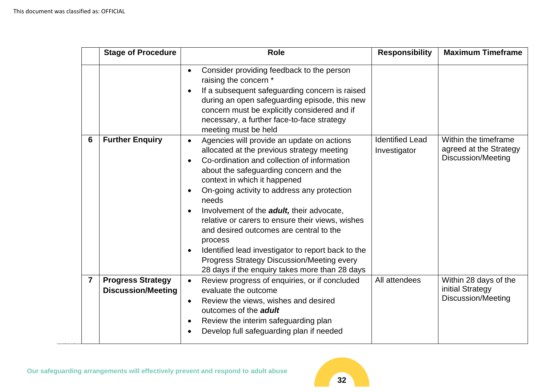|                | <b>Stage of Procedure</b>                             | <b>Role</b>                                                                                                                                                                                                                                                                                                                                                                                                                                                                                                                                                                                                                                                     | <b>Responsibility</b>                  | <b>Maximum Timeframe</b>                                                    |
|----------------|-------------------------------------------------------|-----------------------------------------------------------------------------------------------------------------------------------------------------------------------------------------------------------------------------------------------------------------------------------------------------------------------------------------------------------------------------------------------------------------------------------------------------------------------------------------------------------------------------------------------------------------------------------------------------------------------------------------------------------------|----------------------------------------|-----------------------------------------------------------------------------|
|                |                                                       | Consider providing feedback to the person<br>$\bullet$<br>raising the concern *<br>If a subsequent safeguarding concern is raised<br>$\bullet$<br>during an open safeguarding episode, this new<br>concern must be explicitly considered and if<br>necessary, a further face-to-face strategy<br>meeting must be held                                                                                                                                                                                                                                                                                                                                           |                                        |                                                                             |
| 6              | <b>Further Enquiry</b>                                | Agencies will provide an update on actions<br>$\bullet$<br>allocated at the previous strategy meeting<br>Co-ordination and collection of information<br>$\bullet$<br>about the safeguarding concern and the<br>context in which it happened<br>On-going activity to address any protection<br>$\bullet$<br>needs<br>Involvement of the <b>adult</b> , their advocate,<br>$\bullet$<br>relative or carers to ensure their views, wishes<br>and desired outcomes are central to the<br>process<br>Identified lead investigator to report back to the<br>$\bullet$<br>Progress Strategy Discussion/Meeting every<br>28 days if the enquiry takes more than 28 days | <b>Identified Lead</b><br>Investigator | Within the timeframe<br>agreed at the Strategy<br><b>Discussion/Meeting</b> |
| $\overline{7}$ | <b>Progress Strategy</b><br><b>Discussion/Meeting</b> | Review progress of enquiries, or if concluded<br>$\bullet$<br>evaluate the outcome<br>Review the views, wishes and desired<br>$\bullet$<br>outcomes of the <b>adult</b><br>Review the interim safeguarding plan<br>$\bullet$<br>Develop full safeguarding plan if needed                                                                                                                                                                                                                                                                                                                                                                                        | All attendees                          | Within 28 days of the<br>initial Strategy<br><b>Discussion/Meeting</b>      |

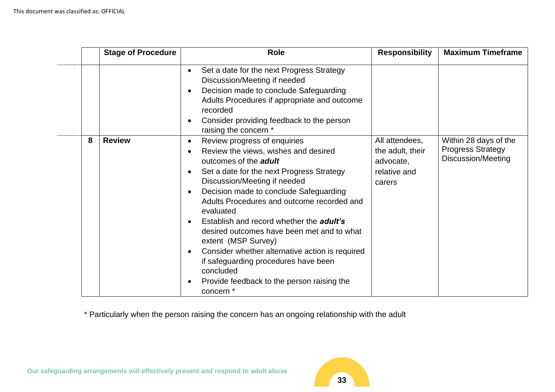|                    | <b>Stage of Procedure</b>                                                                                          | Role                                                                                                                                                                                                                                                                                                                                                                                                                                                                                | <b>Responsibility</b>                                                     | <b>Maximum Timeframe</b>                                                |
|--------------------|--------------------------------------------------------------------------------------------------------------------|-------------------------------------------------------------------------------------------------------------------------------------------------------------------------------------------------------------------------------------------------------------------------------------------------------------------------------------------------------------------------------------------------------------------------------------------------------------------------------------|---------------------------------------------------------------------------|-------------------------------------------------------------------------|
|                    | recorded<br>raising the concern *                                                                                  | Set a date for the next Progress Strategy<br>Discussion/Meeting if needed<br>Decision made to conclude Safeguarding<br>Adults Procedures if appropriate and outcome<br>Consider providing feedback to the person                                                                                                                                                                                                                                                                    |                                                                           |                                                                         |
| <b>Review</b><br>8 | $\bullet$<br>outcomes of the <b>adult</b><br>evaluated<br>extent (MSP Survey)<br>concluded<br>concern <sup>*</sup> | Review progress of enquiries<br>Review the views, wishes and desired<br>Set a date for the next Progress Strategy<br>Discussion/Meeting if needed<br>Decision made to conclude Safeguarding<br>Adults Procedures and outcome recorded and<br>Establish and record whether the <b>adult's</b><br>desired outcomes have been met and to what<br>Consider whether alternative action is required<br>if safeguarding procedures have been<br>Provide feedback to the person raising the | All attendees,<br>the adult, their<br>advocate,<br>relative and<br>carers | Within 28 days of the<br><b>Progress Strategy</b><br>Discussion/Meeting |

\* Particularly when the person raising the concern has an ongoing relationship with the adult

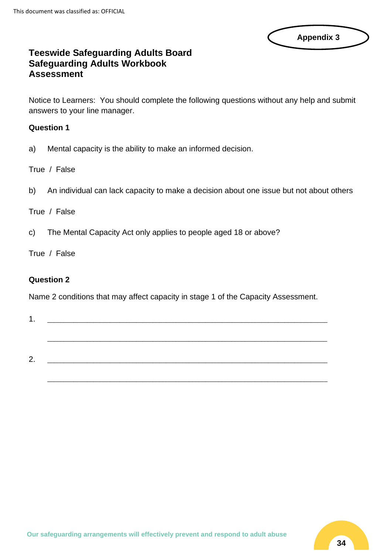

## **Teeswide Safeguarding Adults Board Safeguarding Adults Workbook Assessment**

Notice to Learners: You should complete the following questions without any help and submit answers to your line manager.

#### **Question 1**

a) Mental capacity is the ability to make an informed decision.

True / False

b) An individual can lack capacity to make a decision about one issue but not about others

#### True / False

c) The Mental Capacity Act only applies to people aged 18 or above?

#### True / False

#### **Question 2**

Name 2 conditions that may affect capacity in stage 1 of the Capacity Assessment.

| -1<br>. . |  |  |
|-----------|--|--|
|           |  |  |
|           |  |  |
| 2.        |  |  |
|           |  |  |

 $\_$  ,  $\_$  ,  $\_$  ,  $\_$  ,  $\_$  ,  $\_$  ,  $\_$  ,  $\_$  ,  $\_$  ,  $\_$  ,  $\_$  ,  $\_$  ,  $\_$  ,  $\_$  ,  $\_$  ,  $\_$  ,  $\_$  ,  $\_$  ,  $\_$  ,  $\_$  ,  $\_$  ,  $\_$  ,  $\_$  ,  $\_$  ,  $\_$  ,  $\_$  ,  $\_$  ,  $\_$  ,  $\_$  ,  $\_$  ,  $\_$  ,  $\_$  ,  $\_$  ,  $\_$  ,  $\_$  ,  $\_$  ,  $\_$  ,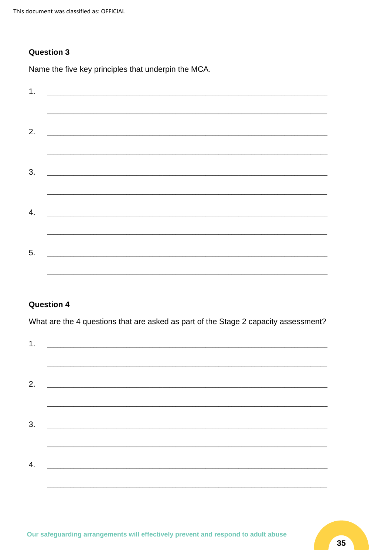Name the five key principles that underpin the MCA.

| 1. |                                                     |  |  |
|----|-----------------------------------------------------|--|--|
|    |                                                     |  |  |
| 2. |                                                     |  |  |
|    |                                                     |  |  |
| 3. |                                                     |  |  |
|    |                                                     |  |  |
| 4. | <u> 1989 - Johann Barbara, martxa alemaniar arg</u> |  |  |
|    |                                                     |  |  |
| 5. |                                                     |  |  |
|    |                                                     |  |  |

#### **Question 4**

What are the 4 questions that are asked as part of the Stage 2 capacity assessment?

| 1. | <u> 1989 - Jan Barbara, manazarta maso da manazarta (h. 1982).</u>   |  |  |
|----|----------------------------------------------------------------------|--|--|
| 2. | <u> 1980 - Andrea Andrewski, politik američki profesor (d. 1980)</u> |  |  |
| 3. |                                                                      |  |  |
| 4. |                                                                      |  |  |
|    |                                                                      |  |  |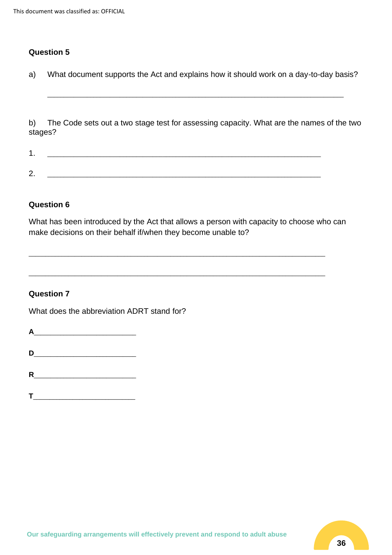|  | a) What document supports the Act and explains how it should work on a day-to-day basis? |  |  |  |
|--|------------------------------------------------------------------------------------------|--|--|--|
|--|------------------------------------------------------------------------------------------|--|--|--|

\_\_\_\_\_\_\_\_\_\_\_\_\_\_\_\_\_\_\_\_\_\_\_\_\_\_\_\_\_\_\_\_\_\_\_\_\_\_\_\_\_\_\_\_\_\_\_\_\_\_\_\_\_\_\_\_\_\_\_\_\_\_\_\_\_\_\_\_\_\_\_\_\_\_\_\_\_\_\_\_\_\_\_\_\_\_\_\_\_\_

b) The Code sets out a two stage test for assessing capacity. What are the names of the two stages?

|               | _____ | ______ |  |
|---------------|-------|--------|--|
|               |       |        |  |
| ⌒<br><u>.</u> |       |        |  |

#### **Question 6**

What has been introduced by the Act that allows a person with capacity to choose who can make decisions on their behalf if/when they become unable to?

\_\_\_\_\_\_\_\_\_\_\_\_\_\_\_\_\_\_\_\_\_\_\_\_\_\_\_\_\_\_\_\_\_\_\_\_\_\_\_\_\_\_\_\_\_\_\_\_\_\_\_\_\_\_\_\_\_\_\_\_\_\_\_\_\_\_\_\_\_\_\_\_\_\_\_\_\_\_\_\_\_\_\_\_\_\_\_\_\_\_

\_\_\_\_\_\_\_\_\_\_\_\_\_\_\_\_\_\_\_\_\_\_\_\_\_\_\_\_\_\_\_\_\_\_\_\_\_\_\_\_\_\_\_\_\_\_\_\_\_\_\_\_\_\_\_\_\_\_\_\_\_\_\_\_\_\_\_\_\_\_\_\_\_\_\_\_\_\_\_\_\_\_\_\_\_\_\_\_\_\_

#### **Question 7**

What does the abbreviation ADRT stand for?

|   | $\mathsf A$  |  |  |  |
|---|--------------|--|--|--|
|   | $\mathsf{D}$ |  |  |  |
|   | R            |  |  |  |
| Т |              |  |  |  |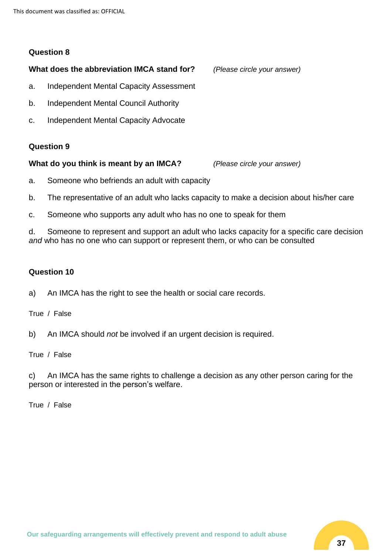#### **What does the abbreviation IMCA stand for?** *(Please circle your answer)*

- a. Independent Mental Capacity Assessment
- b. Independent Mental Council Authority
- c. Independent Mental Capacity Advocate

#### **Question 9**

#### **What do you think is meant by an IMCA?** *(Please circle your answer)*

- a. Someone who befriends an adult with capacity
- b. The representative of an adult who lacks capacity to make a decision about his/her care
- c. Someone who supports any adult who has no one to speak for them

d. Someone to represent and support an adult who lacks capacity for a specific care decision *and* who has no one who can support or represent them, or who can be consulted

#### **Question 10**

a) An IMCA has the right to see the health or social care records.

True / False

b) An IMCA should *not* be involved if an urgent decision is required.

True / False

c) An IMCA has the same rights to challenge a decision as any other person caring for the person or interested in the person's welfare.

True / False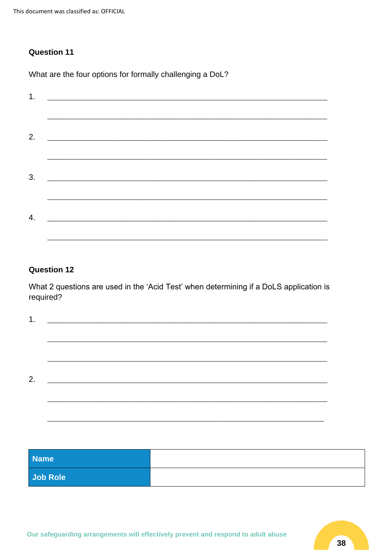What are the four options for formally challenging a DoL?

| 2. |                                                                               |  |  |  |
|----|-------------------------------------------------------------------------------|--|--|--|
| 3. |                                                                               |  |  |  |
|    |                                                                               |  |  |  |
| 4. | <u> 1989 - Johann Barn, mars ar breithinn ar chwaraeth a bhaile ann an t-</u> |  |  |  |
|    |                                                                               |  |  |  |

#### **Question 12**

What 2 questions are used in the 'Acid Test' when determining if a DoLS application is required?

| <u> 1989 - Johann John Stein, marwolaethau (b. 1989)</u> |  |  |  |
|----------------------------------------------------------|--|--|--|
|                                                          |  |  |  |
|                                                          |  |  |  |
|                                                          |  |  |  |
|                                                          |  |  |  |
|                                                          |  |  |  |
|                                                          |  |  |  |
|                                                          |  |  |  |
|                                                          |  |  |  |

| <b>Name</b> |  |
|-------------|--|
| Job Role    |  |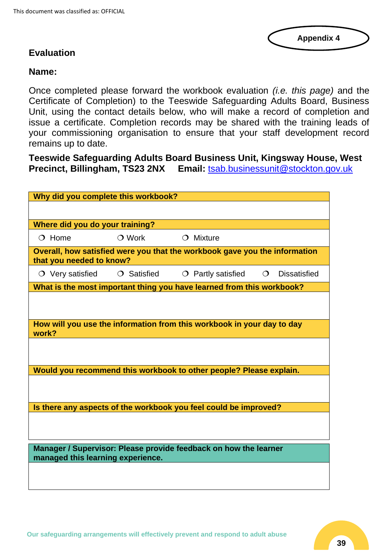

## **Evaluation**

#### **Name:**

Once completed please forward the workbook evaluation *(i.e. this page)* and the Certificate of Completion) to the Teeswide Safeguarding Adults Board, Business Unit, using the contact details below, who will make a record of completion and issue a certificate. Completion records may be shared with the training leads of your commissioning organisation to ensure that your staff development record remains up to date.

**Teeswide Safeguarding Adults Board Business Unit, Kingsway House, West Precinct, Billingham, TS23 2NX Email:** [tsab.businessunit@stockton.gov.uk](mailto:tsab.businessunit@stockton.gov.uk)

| Why did you complete this workbook? |                 |                                                                            |         |                     |
|-------------------------------------|-----------------|----------------------------------------------------------------------------|---------|---------------------|
|                                     |                 |                                                                            |         |                     |
| Where did you do your training?     |                 |                                                                            |         |                     |
| $O$ Home                            | $\bigcirc$ Work | $O$ Mixture                                                                |         |                     |
| that you needed to know?            |                 | Overall, how satisfied were you that the workbook gave you the information |         |                     |
| $\circ$ Very satisfied              | $O$ Satisfied   | $\circ$ Partly satisfied                                                   | $\circ$ | <b>Dissatisfied</b> |
|                                     |                 | What is the most important thing you have learned from this workbook?      |         |                     |
|                                     |                 |                                                                            |         |                     |
| work?                               |                 | How will you use the information from this workbook in your day to day     |         |                     |
|                                     |                 |                                                                            |         |                     |
|                                     |                 | Would you recommend this workbook to other people? Please explain.         |         |                     |
|                                     |                 |                                                                            |         |                     |
|                                     |                 |                                                                            |         |                     |
|                                     |                 | Is there any aspects of the workbook you feel could be improved?           |         |                     |
|                                     |                 |                                                                            |         |                     |
|                                     |                 |                                                                            |         |                     |
| managed this learning experience.   |                 | Manager / Supervisor: Please provide feedback on how the learner           |         |                     |
|                                     |                 |                                                                            |         |                     |
|                                     |                 |                                                                            |         |                     |